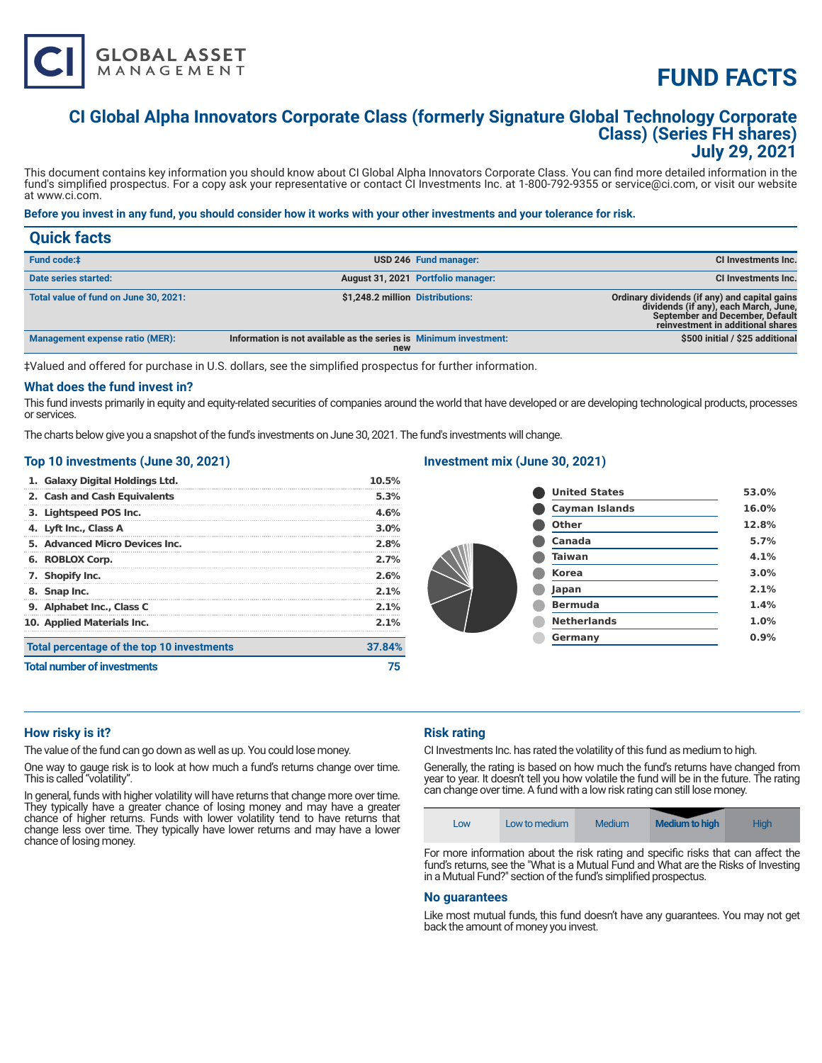# **FUND FACTS**

## **CI Global Alpha Innovators Corporate Class (formerly Signature Global Technology Corporate Class) (Series FH shares) July 29, 2021**

This document contains key information you should know about CI Global Alpha Innovators Corporate Class. You can find more detailed information in the fund's simplified prospectus. For a copy ask your representative or contact CI Investments Inc. at 1-800-792-9355 or service@ci.com, or visit our website at www.ci.com.

#### **Before you invest in any fund, you should consider how it works with your other investments and your tolerance for risk.**

| <b>Quick facts</b>                     |                                                                          |                                    |                                                                                                                                                                |
|----------------------------------------|--------------------------------------------------------------------------|------------------------------------|----------------------------------------------------------------------------------------------------------------------------------------------------------------|
| <b>Fund code:</b> #                    |                                                                          | USD 246 Fund manager:              | CI Investments Inc.                                                                                                                                            |
| Date series started:                   |                                                                          | August 31, 2021 Portfolio manager: | CI Investments Inc.                                                                                                                                            |
| Total value of fund on June 30, 2021:  | \$1,248.2 million Distributions:                                         |                                    | Ordinary dividends (if any) and capital gains<br>dividends (if any), each March, June,<br>September and December, Default<br>reinvestment in additional shares |
| <b>Management expense ratio (MER):</b> | Information is not available as the series is Minimum investment:<br>new |                                    | \$500 initial / \$25 additional                                                                                                                                |

‡Valued and offered for purchase in U.S. dollars, see the simplified prospectus for further information.

#### **What does the fund invest in?**

This fund invests primarily in equity and equity-related securities of companies around the world that have developed or are developing technological products, processes or services.

The charts below give you a snapshot of the fund's investments on June 30, 2021. The fund's investments will change.

#### **Top 10 investments (June 30, 2021)**

**GLOBAL ASSET**<br>MANAGEMENT

| 1. Galaxy Digital Holdings Ltd.            | 10.5%   |
|--------------------------------------------|---------|
| 2. Cash and Cash Equivalents               | 5.3%    |
| 3. Lightspeed POS Inc.                     | 4.6%    |
| 4. Lyft Inc., Class A                      | $3.0\%$ |
| 5. Advanced Micro Devices Inc.             | 2.8%    |
| 6. ROBLOX Corp.                            | 2.7%    |
| 7. Shopify Inc.                            | 2.6%    |
| 8. Snap Inc.                               | $2.1\%$ |
| 9. Alphabet Inc., Class C                  | $2.1\%$ |
| 10. Applied Materials Inc.                 | $2.1\%$ |
| Total percentage of the top 10 investments | 37.84%  |
| <b>Total number of investments</b>         |         |

### **Investment mix (June 30, 2021)**

| <b>United States</b>  | 53.0% |
|-----------------------|-------|
| <b>Cayman Islands</b> | 16.0% |
| Other                 | 12.8% |
| Canada                | 5.7%  |
| <b>Taiwan</b>         | 4.1%  |
| <b>Korea</b>          | 3.0%  |
| Japan                 | 2.1%  |
| <b>Bermuda</b>        | 1.4%  |
| <b>Netherlands</b>    | 1.0%  |
| Germany               | 0.9%  |
|                       |       |

#### **How risky is it?**

The value of the fund can go down as well as up. You could lose money.

One way to gauge risk is to look at how much a fund's returns change over time. This is called "volatility".

In general, funds with higher volatility will have returns that change more over time. They typically have a greater chance of losing money and may have a greater chance of higher returns. Funds with lower volatility tend to have returns that change less over time. They typically have lower returns and may have a lower chance of losing money.

#### **Risk rating**

CI Investments Inc. has rated the volatility of this fund as medium to high.

in a Mutual Fund?" section of the fund's simplified prospectus.

Generally, the rating is based on how much the fund's returns have changed from year to year. It doesn't tell you how volatile the fund will be in the future. The rating can change over time. A fund with a low risk rating can still lose money.



**No guarantees** 

Like most mutual funds, this fund doesn't have any guarantees. You may not get back the amount of money you invest.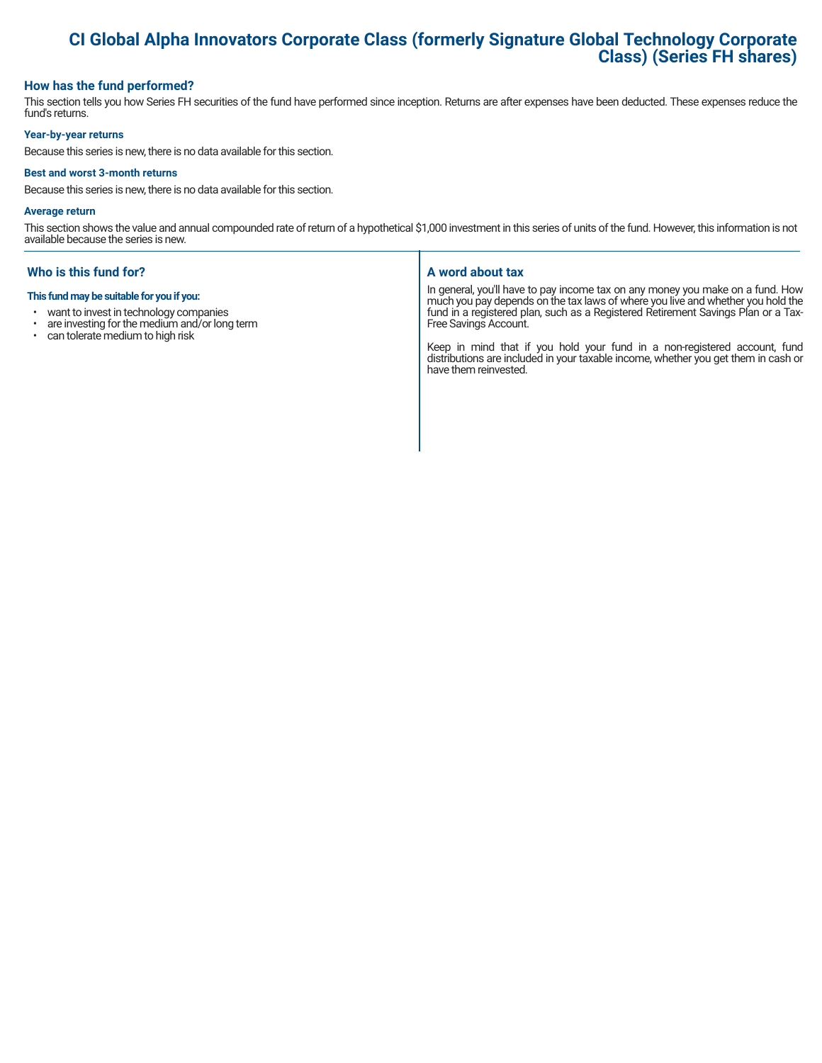# **CI Global Alpha Innovators Corporate Class (formerly Signature Global Technology Corporate Class) (Series FH shares)**

#### **How has the fund performed?**

This section tells you how Series FH securities of the fund have performed since inception. Returns are after expenses have been deducted. These expenses reduce the fund's returns.

#### **Year-by-year returns**

Because this series is new, there is no data available for this section.

#### **Best and worst 3-month returns**

Because this series is new, there is no data available for this section.

#### **Average return**

This section shows the value and annual compounded rate of return of a hypothetical \$1,000 investment in this series of units of the fund. However, this information is not available because the series is new.

#### **Who is this fund for?**

#### **This fund may be suitable for you if you:**

- want to invest in technology companies
- $\cdot$  are investing for the medium and/or long term<br> $\cdot$  can tolerate medium to bigh risk
- can tolerate medium to high risk

#### **A word about tax**

In general, you'll have to pay income tax on any money you make on a fund. How much you pay depends on the tax laws of where you live and whether you hold the fund in a registered plan, such as a Registered Retirement Savings Plan or a Tax-Free Savings Account.

Keep in mind that if you hold your fund in a non-registered account, fund distributions are included in your taxable income, whether you get them in cash or have them reinvested.